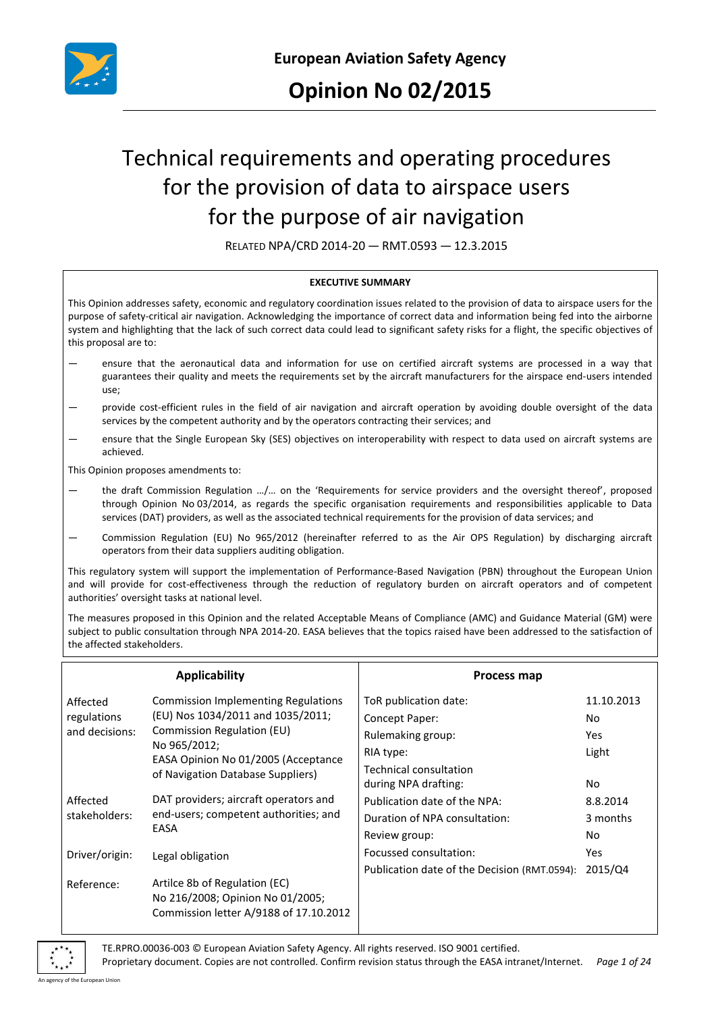

# Technical requirements and operating procedures for the provision of data to airspace users for the purpose of air navigation

RELATED NPA/CRD 2014-20 — RMT.0593 — 12.3.2015

#### **EXECUTIVE SUMMARY**

This Opinion addresses safety, economic and regulatory coordination issues related to the provision of data to airspace users for the purpose of safety-critical air navigation. Acknowledging the importance of correct data and information being fed into the airborne system and highlighting that the lack of such correct data could lead to significant safety risks for a flight, the specific objectives of this proposal are to:

- ensure that the aeronautical data and information for use on certified aircraft systems are processed in a way that guarantees their quality and meets the requirements set by the aircraft manufacturers for the airspace end-users intended use;
- provide cost-efficient rules in the field of air navigation and aircraft operation by avoiding double oversight of the data services by the competent authority and by the operators contracting their services; and
- ensure that the Single European Sky (SES) objectives on interoperability with respect to data used on aircraft systems are achieved.

This Opinion proposes amendments to:

- the draft Commission Regulation .../... on the 'Requirements for service providers and the oversight thereof', proposed through Opinion No 03/2014, as regards the specific organisation requirements and responsibilities applicable to Data services (DAT) providers, as well as the associated technical requirements for the provision of data services; and
- Commission Regulation (EU) No 965/2012 (hereinafter referred to as the Air OPS Regulation) by discharging aircraft operators from their data suppliers auditing obligation.

This regulatory system will support the implementation of Performance-Based Navigation (PBN) throughout the European Union and will provide for cost-effectiveness through the reduction of regulatory burden on aircraft operators and of competent authorities' oversight tasks at national level.

The measures proposed in this Opinion and the related Acceptable Means of Compliance (AMC) and Guidance Material (GM) were subject to public consultation through NPA 2014-20. EASA believes that the topics raised have been addressed to the satisfaction of the affected stakeholders.

| <b>Applicability</b>                      |                                                                                                                                                                                                           | Process map                                                                                            |                                    |
|-------------------------------------------|-----------------------------------------------------------------------------------------------------------------------------------------------------------------------------------------------------------|--------------------------------------------------------------------------------------------------------|------------------------------------|
| Affected<br>regulations<br>and decisions: | <b>Commission Implementing Regulations</b><br>(EU) Nos 1034/2011 and 1035/2011;<br>Commission Regulation (EU)<br>No 965/2012;<br>EASA Opinion No 01/2005 (Acceptance<br>of Navigation Database Suppliers) | ToR publication date:<br>Concept Paper:<br>Rulemaking group:<br>RIA type:<br>Technical consultation    | 11.10.2013<br>No.<br>Yes.<br>Light |
| Affected<br>stakeholders:                 | DAT providers; aircraft operators and<br>end-users; competent authorities; and<br>EASA                                                                                                                    | during NPA drafting:<br>Publication date of the NPA:<br>Duration of NPA consultation:<br>Review group: | No.<br>8.8.2014<br>3 months<br>No  |
| Driver/origin:                            | Legal obligation                                                                                                                                                                                          | Focussed consultation:<br>Publication date of the Decision (RMT.0594):                                 | Yes<br>2015/04                     |
| Reference:                                | Artilce 8b of Regulation (EC)<br>No 216/2008; Opinion No 01/2005;<br>Commission letter A/9188 of 17.10.2012                                                                                               |                                                                                                        |                                    |

TE.RPRO.00036-003 © European Aviation Safety Agency. All rights reserved. ISO 9001 certified. Proprietary document. Copies are not controlled. Confirm revision status through the EASA intranet/Internet. *Page 1 of 24*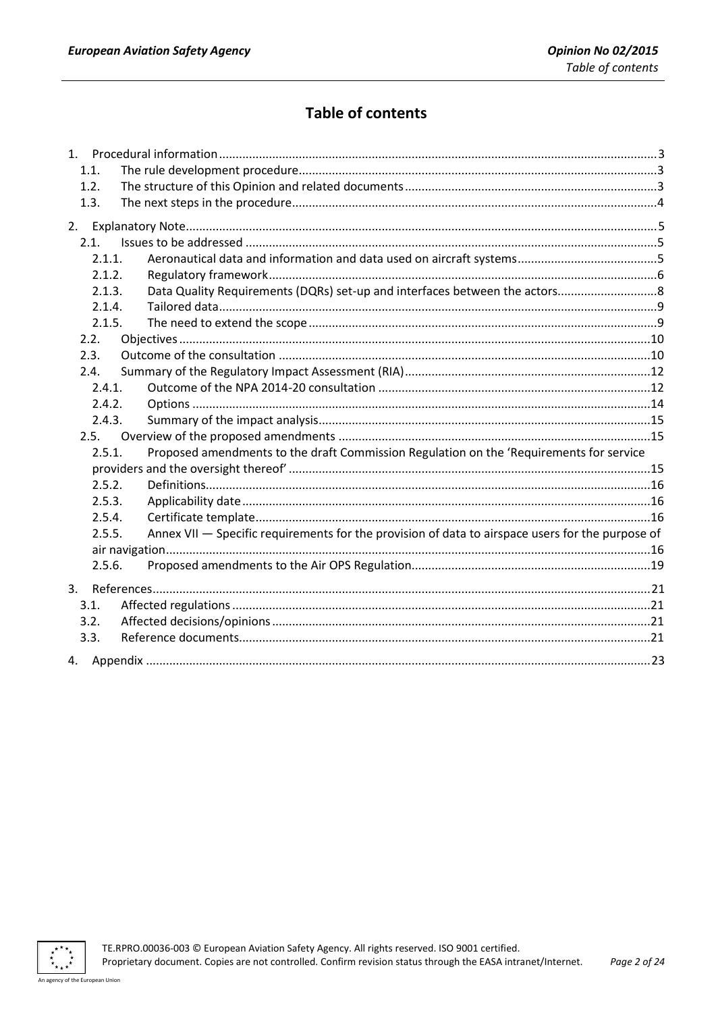# **Table of contents**

|    | 1.1.   |                                                                                                  |  |
|----|--------|--------------------------------------------------------------------------------------------------|--|
|    | 1.2.   |                                                                                                  |  |
|    | 1.3.   |                                                                                                  |  |
|    |        |                                                                                                  |  |
|    | 2.1.   |                                                                                                  |  |
|    | 2.1.1. |                                                                                                  |  |
|    | 2.1.2. |                                                                                                  |  |
|    | 2.1.3. | Data Quality Requirements (DQRs) set-up and interfaces between the actors8                       |  |
|    | 2.1.4. |                                                                                                  |  |
|    | 2.1.5. |                                                                                                  |  |
|    | 2.2.   |                                                                                                  |  |
|    | 2.3.   |                                                                                                  |  |
|    | 2.4.   |                                                                                                  |  |
|    | 2.4.1. |                                                                                                  |  |
|    | 2.4.2. |                                                                                                  |  |
|    | 2.4.3. |                                                                                                  |  |
|    | 2.5.   |                                                                                                  |  |
|    | 2.5.1. | Proposed amendments to the draft Commission Regulation on the 'Requirements for service          |  |
|    |        |                                                                                                  |  |
|    | 2.5.2. |                                                                                                  |  |
|    | 2.5.3. |                                                                                                  |  |
|    | 2.5.4. |                                                                                                  |  |
|    | 2.5.5. | Annex VII - Specific requirements for the provision of data to airspace users for the purpose of |  |
|    |        |                                                                                                  |  |
|    | 2.5.6. |                                                                                                  |  |
| 3. |        |                                                                                                  |  |
|    | 3.1.   |                                                                                                  |  |
|    | 3.2.   |                                                                                                  |  |
|    | 3.3.   |                                                                                                  |  |
|    |        |                                                                                                  |  |

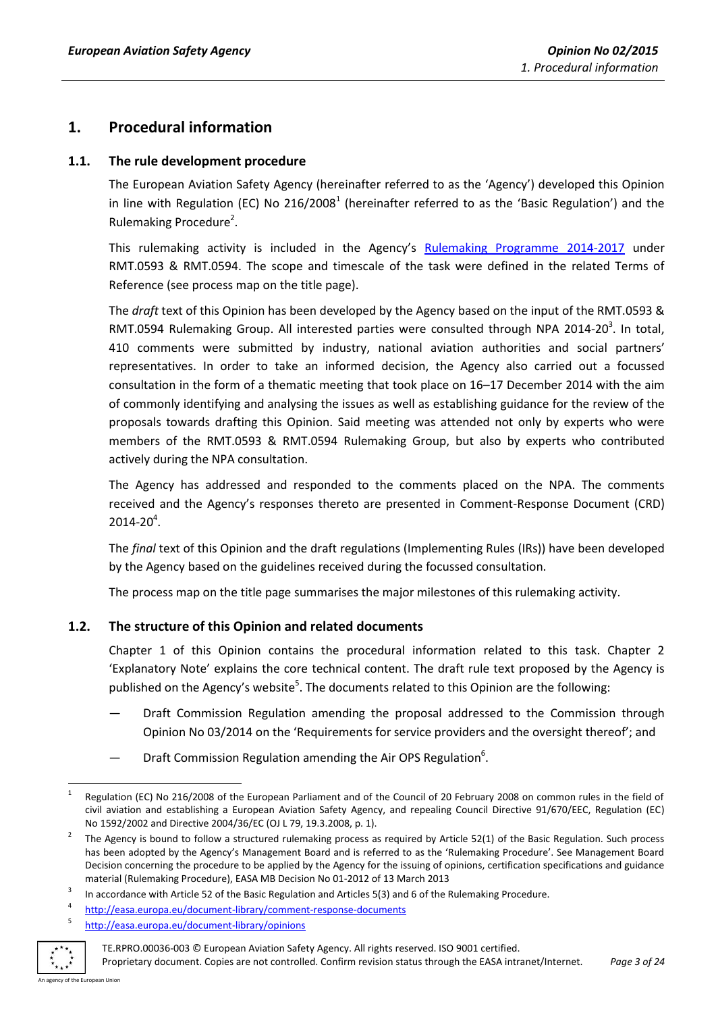# <span id="page-2-0"></span>**1. Procedural information**

# <span id="page-2-1"></span>**1.1. The rule development procedure**

The European Aviation Safety Agency (hereinafter referred to as the 'Agency') developed this Opinion in line with Regulation (EC) No 216/2008<sup>1</sup> (hereinafter referred to as the 'Basic Regulation') and the Rulemaking Procedure<sup>2</sup>.

This rulemaking activity is included in the Agency's [Rulemaking Programme](http://easa.europa.eu/document-library/rulemaking-programmes) 2014-2017 under RMT.0593 & RMT.0594. The scope and timescale of the task were defined in the related Terms of Reference (see process map on the title page).

The *draft* text of this Opinion has been developed by the Agency based on the input of the RMT.0593 & RMT.0594 Rulemaking Group. All interested parties were consulted through NPA 2014-20 $^3$ . In total, 410 comments were submitted by industry, national aviation authorities and social partners' representatives. In order to take an informed decision, the Agency also carried out a focussed consultation in the form of a thematic meeting that took place on 16–17 December 2014 with the aim of commonly identifying and analysing the issues as well as establishing guidance for the review of the proposals towards drafting this Opinion. Said meeting was attended not only by experts who were members of the RMT.0593 & RMT.0594 Rulemaking Group, but also by experts who contributed actively during the NPA consultation.

The Agency has addressed and responded to the comments placed on the NPA. The comments received and the Agency's responses thereto are presented in Comment-Response Document (CRD)  $2014 - 20^{4}$ .

The *final* text of this Opinion and the draft regulations (Implementing Rules (IRs)) have been developed by the Agency based on the guidelines received during the focussed consultation.

The process map on the title page summarises the major milestones of this rulemaking activity.

# <span id="page-2-2"></span>**1.2. The structure of this Opinion and related documents**

Chapter 1 of this Opinion contains the procedural information related to this task. Chapter 2 'Explanatory Note' explains the core technical content. The draft rule text proposed by the Agency is published on the Agency's website<sup>5</sup>. The documents related to this Opinion are the following:

- Draft Commission Regulation amending the proposal addressed to the Commission through Opinion No 03/2014 on the 'Requirements for service providers and the oversight thereof'; and
- Draft Commission Regulation amending the Air OPS Regulation<sup>6</sup>.

<sup>5</sup> <http://easa.europa.eu/document-library/opinions>



TE.RPRO.00036-003 © European Aviation Safety Agency. All rights reserved. ISO 9001 certified.

<sup>1</sup> 1 Regulation (EC) No 216/2008 of the European Parliament and of the Council of 20 February 2008 on common rules in the field of civil aviation and establishing a European Aviation Safety Agency, and repealing Council Directive 91/670/EEC, Regulation (EC) No 1592/2002 and Directive 2004/36/EC (OJ L 79, 19.3.2008, p. 1).

<sup>2</sup> The Agency is bound to follow a structured rulemaking process as required by Article 52(1) of the Basic Regulation. Such process has been adopted by the Agency's Management Board and is referred to as the 'Rulemaking Procedure'. See Management Board Decision concerning the procedure to be applied by the Agency for the issuing of opinions, certification specifications and guidance material (Rulemaking Procedure), EASA MB Decision No 01-2012 of 13 March 2013

<sup>3</sup> In accordance with Article 52 of the Basic Regulation and Articles 5(3) and 6 of the Rulemaking Procedure.

<sup>4</sup> <http://easa.europa.eu/document-library/comment-response-documents>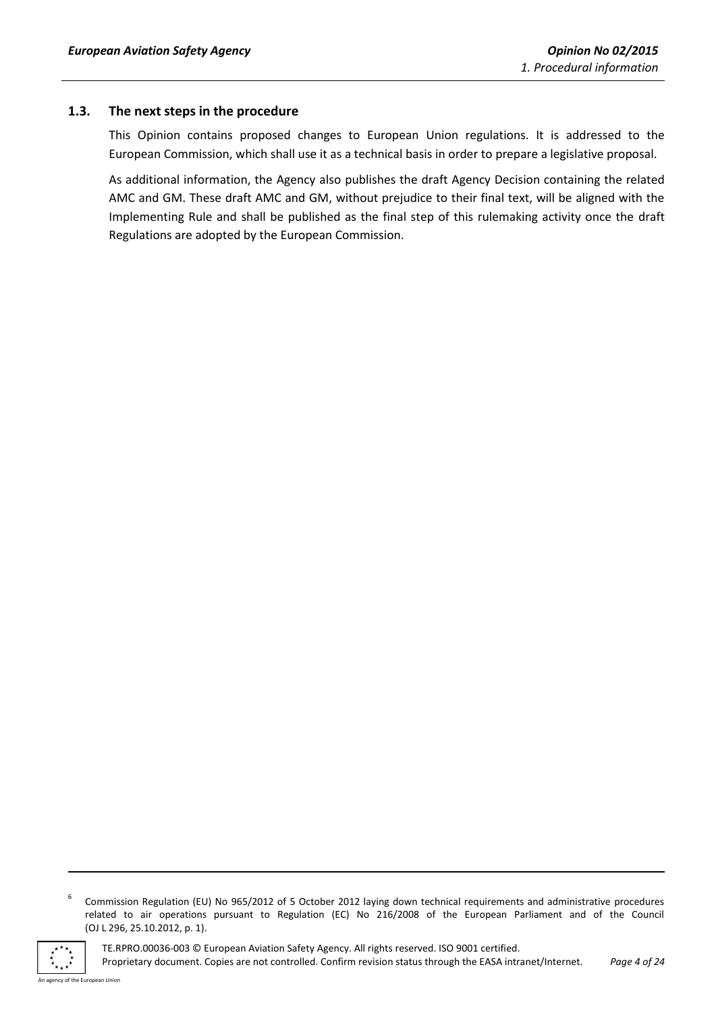# <span id="page-3-0"></span>**1.3. The next steps in the procedure**

This Opinion contains proposed changes to European Union regulations. It is addressed to the European Commission, which shall use it as a technical basis in order to prepare a legislative proposal.

As additional information, the Agency also publishes the draft Agency Decision containing the related AMC and GM. These draft AMC and GM, without prejudice to their final text, will be aligned with the Implementing Rule and shall be published as the final step of this rulemaking activity once the draft Regulations are adopted by the European Commission.

<sup>6</sup> Commission Regulation (EU) No 965/2012 of 5 October 2012 laying down technical requirements and administrative procedures related to air operations pursuant to Regulation (EC) No 216/2008 of the European Parliament and of the Council (OJ L 296, 25.10.2012, p. 1).



**.** 

TE.RPRO.00036-003 © European Aviation Safety Agency. All rights reserved. ISO 9001 certified. Proprietary document. Copies are not controlled. Confirm revision status through the EASA intranet/Internet. *Page 4 of 24*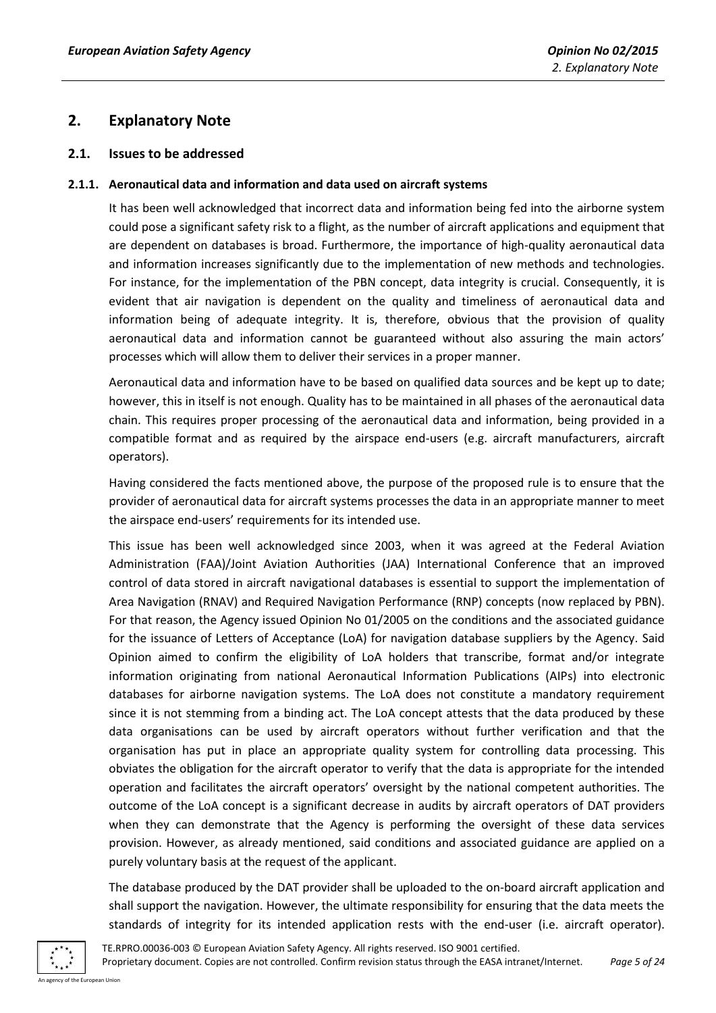# <span id="page-4-0"></span>**2. Explanatory Note**

# <span id="page-4-1"></span>**2.1. Issues to be addressed**

#### <span id="page-4-2"></span>**2.1.1. Aeronautical data and information and data used on aircraft systems**

It has been well acknowledged that incorrect data and information being fed into the airborne system could pose a significant safety risk to a flight, as the number of aircraft applications and equipment that are dependent on databases is broad. Furthermore, the importance of high-quality aeronautical data and information increases significantly due to the implementation of new methods and technologies. For instance, for the implementation of the PBN concept, data integrity is crucial. Consequently, it is evident that air navigation is dependent on the quality and timeliness of aeronautical data and information being of adequate integrity. It is, therefore, obvious that the provision of quality aeronautical data and information cannot be guaranteed without also assuring the main actors' processes which will allow them to deliver their services in a proper manner.

Aeronautical data and information have to be based on qualified data sources and be kept up to date; however, this in itself is not enough. Quality has to be maintained in all phases of the aeronautical data chain. This requires proper processing of the aeronautical data and information, being provided in a compatible format and as required by the airspace end-users (e.g. aircraft manufacturers, aircraft operators).

Having considered the facts mentioned above, the purpose of the proposed rule is to ensure that the provider of aeronautical data for aircraft systems processes the data in an appropriate manner to meet the airspace end-users' requirements for its intended use.

This issue has been well acknowledged since 2003, when it was agreed at the Federal Aviation Administration (FAA)/Joint Aviation Authorities (JAA) International Conference that an improved control of data stored in aircraft navigational databases is essential to support the implementation of Area Navigation (RNAV) and Required Navigation Performance (RNP) concepts (now replaced by PBN). For that reason, the Agency issued Opinion No 01/2005 on the conditions and the associated guidance for the issuance of Letters of Acceptance (LoA) for navigation database suppliers by the Agency. Said Opinion aimed to confirm the eligibility of LoA holders that transcribe, format and/or integrate information originating from national Aeronautical Information Publications (AIPs) into electronic databases for airborne navigation systems. The LoA does not constitute a mandatory requirement since it is not stemming from a binding act. The LoA concept attests that the data produced by these data organisations can be used by aircraft operators without further verification and that the organisation has put in place an appropriate quality system for controlling data processing. This obviates the obligation for the aircraft operator to verify that the data is appropriate for the intended operation and facilitates the aircraft operators' oversight by the national competent authorities. The outcome of the LoA concept is a significant decrease in audits by aircraft operators of DAT providers when they can demonstrate that the Agency is performing the oversight of these data services provision. However, as already mentioned, said conditions and associated guidance are applied on a purely voluntary basis at the request of the applicant.

The database produced by the DAT provider shall be uploaded to the on-board aircraft application and shall support the navigation. However, the ultimate responsibility for ensuring that the data meets the standards of integrity for its intended application rests with the end-user (i.e. aircraft operator).

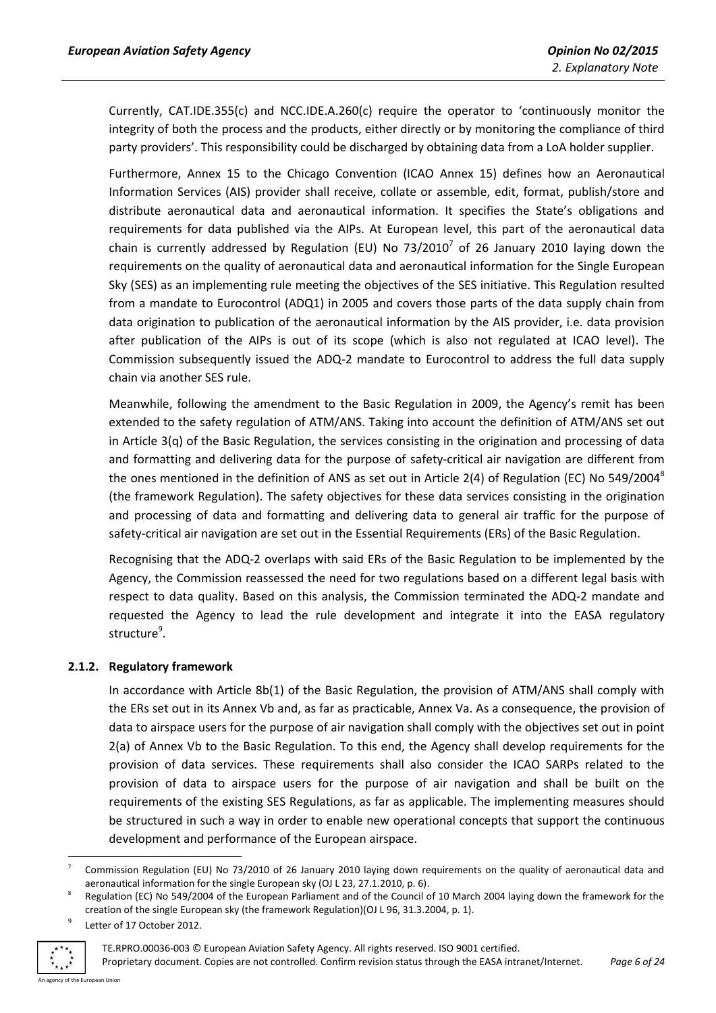Currently, CAT.IDE.355(c) and NCC.IDE.A.260(c) require the operator to 'continuously monitor the integrity of both the process and the products, either directly or by monitoring the compliance of third party providers'. This responsibility could be discharged by obtaining data from a LoA holder supplier.

Furthermore, Annex 15 to the Chicago Convention (ICAO Annex 15) defines how an Aeronautical Information Services (AIS) provider shall receive, collate or assemble, edit, format, publish/store and distribute aeronautical data and aeronautical information. It specifies the State's obligations and requirements for data published via the AIPs. At European level, this part of the aeronautical data chain is currently addressed by Regulation (EU) No 73/2010<sup>7</sup> of 26 January 2010 laying down the requirements on the quality of aeronautical data and aeronautical information for the Single European Sky (SES) as an implementing rule meeting the objectives of the SES initiative. This Regulation resulted from a mandate to Eurocontrol (ADQ1) in 2005 and covers those parts of the data supply chain from data origination to publication of the aeronautical information by the AIS provider, i.e. data provision after publication of the AIPs is out of its scope (which is also not regulated at ICAO level). The Commission subsequently issued the ADQ-2 mandate to Eurocontrol to address the full data supply chain via another SES rule.

Meanwhile, following the amendment to the Basic Regulation in 2009, the Agency's remit has been extended to the safety regulation of ATM/ANS. Taking into account the definition of ATM/ANS set out in Article 3(q) of the Basic Regulation, the services consisting in the origination and processing of data and formatting and delivering data for the purpose of safety-critical air navigation are different from the ones mentioned in the definition of ANS as set out in Article 2(4) of Regulation (EC) No 549/2004<sup>8</sup> (the framework Regulation). The safety objectives for these data services consisting in the origination and processing of data and formatting and delivering data to general air traffic for the purpose of safety-critical air navigation are set out in the Essential Requirements (ERs) of the Basic Regulation.

Recognising that the ADQ-2 overlaps with said ERs of the Basic Regulation to be implemented by the Agency, the Commission reassessed the need for two regulations based on a different legal basis with respect to data quality. Based on this analysis, the Commission terminated the ADQ-2 mandate and requested the Agency to lead the rule development and integrate it into the EASA regulatory structure<sup>9</sup>.

#### <span id="page-5-0"></span>**2.1.2. Regulatory framework**

In accordance with Article 8b(1) of the Basic Regulation, the provision of ATM/ANS shall comply with the ERs set out in its Annex Vb and, as far as practicable, Annex Va. As a consequence, the provision of data to airspace users for the purpose of air navigation shall comply with the objectives set out in point 2(a) of Annex Vb to the Basic Regulation. To this end, the Agency shall develop requirements for the provision of data services. These requirements shall also consider the ICAO SARPs related to the provision of data to airspace users for the purpose of air navigation and shall be built on the requirements of the existing SES Regulations, as far as applicable. The implementing measures should be structured in such a way in order to enable new operational concepts that support the continuous development and performance of the European airspace.

<sup>9</sup> Letter of 17 October 2012.



**.** 

<sup>7</sup> Commission Regulation (EU) No 73/2010 of 26 January 2010 laying down requirements on the quality of aeronautical data and aeronautical information for the single European sky (OJ L 23, 27.1.2010, p. 6).

<sup>8</sup> Regulation (EC) No 549/2004 of the European Parliament and of the Council of 10 March 2004 laying down the framework for the creation of the single European sky (the framework Regulation)(OJ L 96, 31.3.2004, p. 1).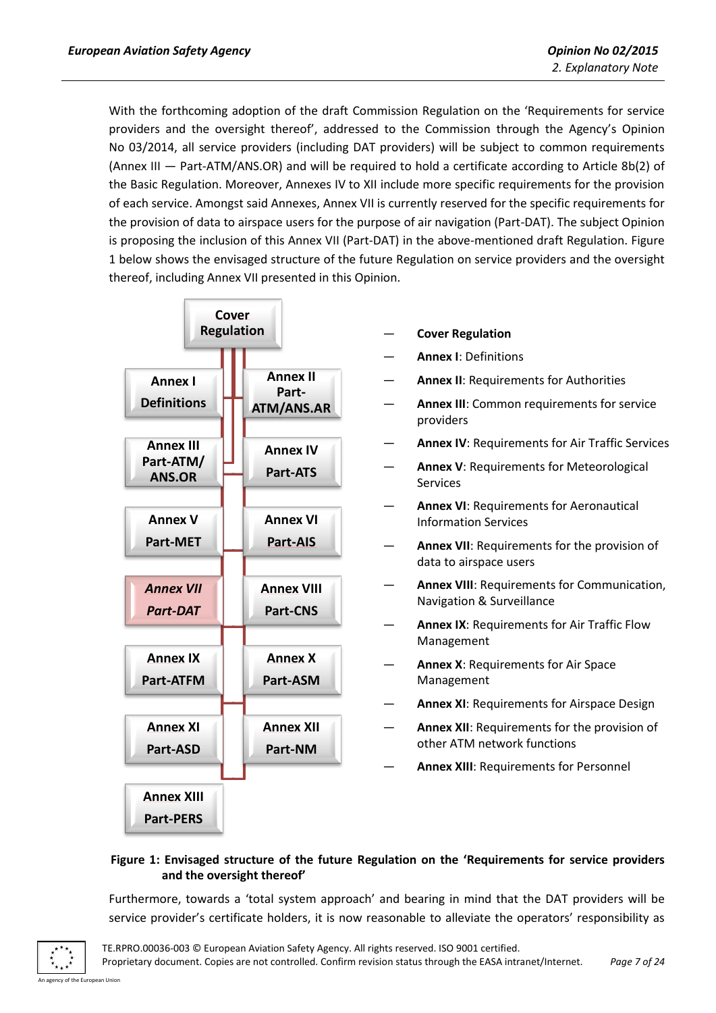With the forthcoming adoption of the draft Commission Regulation on the 'Requirements for service providers and the oversight thereof', addressed to the Commission through the Agency's Opinion No 03/2014, all service providers (including DAT providers) will be subject to common requirements (Annex III — Part-ATM/ANS.OR) and will be required to hold a certificate according to Article 8b(2) of the Basic Regulation. Moreover, Annexes IV to XII include more specific requirements for the provision of each service. Amongst said Annexes, Annex VII is currently reserved for the specific requirements for the provision of data to airspace users for the purpose of air navigation (Part-DAT). The subject Opinion is proposing the inclusion of this Annex VII (Part-DAT) in the above-mentioned draft Regulation. Figure 1 below shows the envisaged structure of the future Regulation on service providers and the oversight thereof, including Annex VII presented in this Opinion.



- **Cover Regulation**
- **Annex I**: Definitions
- Annex II: Requirements for Authorities
- Annex III: Common requirements for service providers
- Annex IV: Requirements for Air Traffic Services
- Annex V: Requirements for Meteorological Services
- Annex VI: Requirements for Aeronautical Information Services
- Annex VII: Requirements for the provision of data to airspace users
- Annex VIII: Requirements for Communication, Navigation & Surveillance
- **Annex IX**: Requirements for Air Traffic Flow Management
- Annex X: Requirements for Air Space Management
- Annex XI: Requirements for Airspace Design
- Annex XII: Requirements for the provision of other ATM network functions
- **Annex XIII**: Requirements for Personnel

#### **Figure 1: Envisaged structure of the future Regulation on the 'Requirements for service providers and the oversight thereof'**

Furthermore, towards a 'total system approach' and bearing in mind that the DAT providers will be service provider's certificate holders, it is now reasonable to alleviate the operators' responsibility as

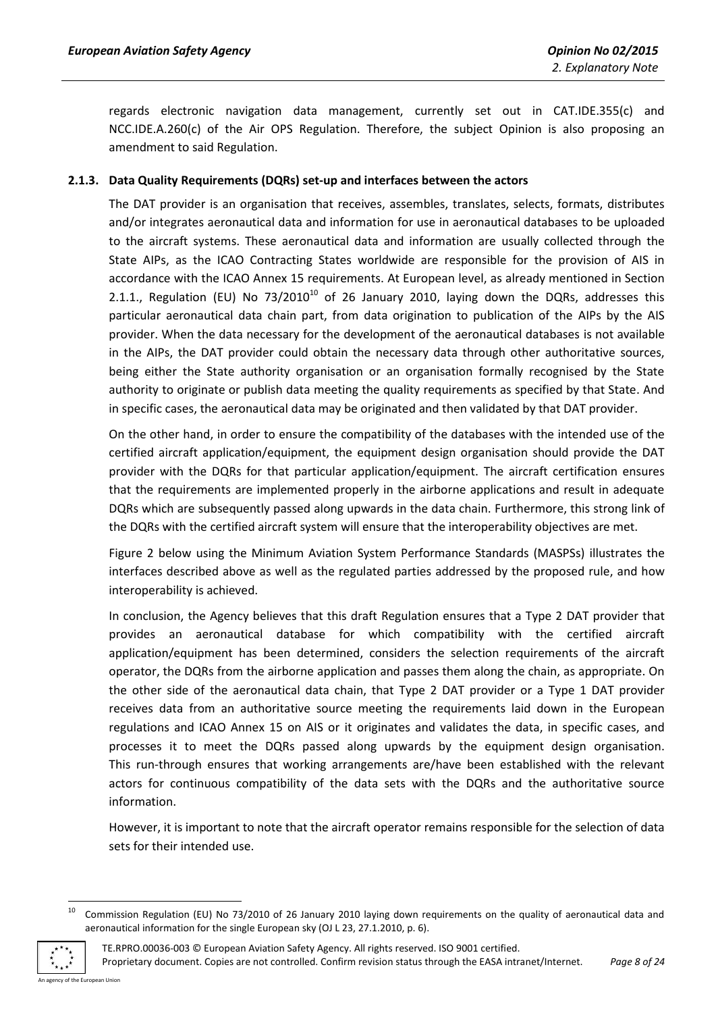regards electronic navigation data management, currently set out in CAT.IDE.355(c) and NCC.IDE.A.260(c) of the Air OPS Regulation. Therefore, the subject Opinion is also proposing an amendment to said Regulation.

#### <span id="page-7-0"></span>**2.1.3. Data Quality Requirements (DQRs) set-up and interfaces between the actors**

The DAT provider is an organisation that receives, assembles, translates, selects, formats, distributes and/or integrates aeronautical data and information for use in aeronautical databases to be uploaded to the aircraft systems. These aeronautical data and information are usually collected through the State AIPs, as the ICAO Contracting States worldwide are responsible for the provision of AIS in accordance with the ICAO Annex 15 requirements. At European level, as already mentioned in Section 2.1.1., Regulation (EU) No  $73/2010^{10}$  of 26 January 2010, laying down the DQRs, addresses this particular aeronautical data chain part, from data origination to publication of the AIPs by the AIS provider. When the data necessary for the development of the aeronautical databases is not available in the AIPs, the DAT provider could obtain the necessary data through other authoritative sources, being either the State authority organisation or an organisation formally recognised by the State authority to originate or publish data meeting the quality requirements as specified by that State. And in specific cases, the aeronautical data may be originated and then validated by that DAT provider.

On the other hand, in order to ensure the compatibility of the databases with the intended use of the certified aircraft application/equipment, the equipment design organisation should provide the DAT provider with the DQRs for that particular application/equipment. The aircraft certification ensures that the requirements are implemented properly in the airborne applications and result in adequate DQRs which are subsequently passed along upwards in the data chain. Furthermore, this strong link of the DQRs with the certified aircraft system will ensure that the interoperability objectives are met.

Figure 2 below using the Minimum Aviation System Performance Standards (MASPSs) illustrates the interfaces described above as well as the regulated parties addressed by the proposed rule, and how interoperability is achieved.

In conclusion, the Agency believes that this draft Regulation ensures that a Type 2 DAT provider that provides an aeronautical database for which compatibility with the certified aircraft application/equipment has been determined, considers the selection requirements of the aircraft operator, the DQRs from the airborne application and passes them along the chain, as appropriate. On the other side of the aeronautical data chain, that Type 2 DAT provider or a Type 1 DAT provider receives data from an authoritative source meeting the requirements laid down in the European regulations and ICAO Annex 15 on AIS or it originates and validates the data, in specific cases, and processes it to meet the DQRs passed along upwards by the equipment design organisation. This run-through ensures that working arrangements are/have been established with the relevant actors for continuous compatibility of the data sets with the DQRs and the authoritative source information.

However, it is important to note that the aircraft operator remains responsible for the selection of data sets for their intended use.

<sup>10</sup> Commission Regulation (EU) No 73/2010 of 26 January 2010 laying down requirements on the quality of aeronautical data and aeronautical information for the single European sky (OJ L 23, 27.1.2010, p. 6).



**.** 

TE.RPRO.00036-003 © European Aviation Safety Agency. All rights reserved. ISO 9001 certified. Proprietary document. Copies are not controlled. Confirm revision status through the EASA intranet/Internet. *Page 8 of 24*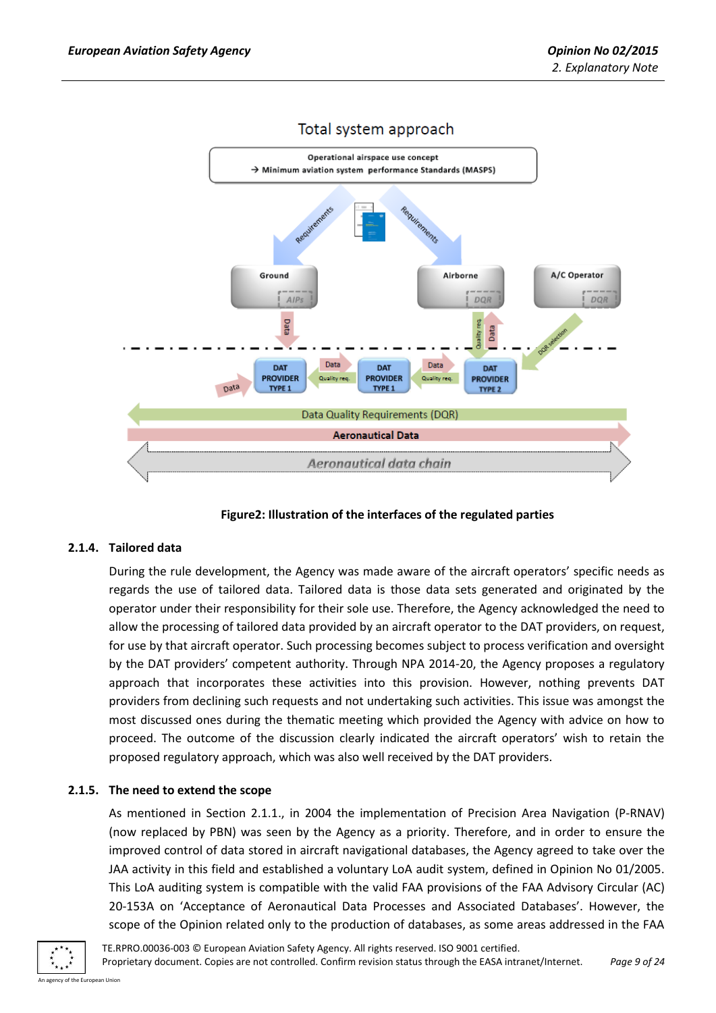

# Total system approach

**Figure2: Illustration of the interfaces of the regulated parties**

#### <span id="page-8-0"></span>**2.1.4. Tailored data**

During the rule development, the Agency was made aware of the aircraft operators' specific needs as regards the use of tailored data. Tailored data is those data sets generated and originated by the operator under their responsibility for their sole use. Therefore, the Agency acknowledged the need to allow the processing of tailored data provided by an aircraft operator to the DAT providers, on request, for use by that aircraft operator. Such processing becomes subject to process verification and oversight by the DAT providers' competent authority. Through NPA 2014-20, the Agency proposes a regulatory approach that incorporates these activities into this provision. However, nothing prevents DAT providers from declining such requests and not undertaking such activities. This issue was amongst the most discussed ones during the thematic meeting which provided the Agency with advice on how to proceed. The outcome of the discussion clearly indicated the aircraft operators' wish to retain the proposed regulatory approach, which was also well received by the DAT providers.

#### <span id="page-8-1"></span>**2.1.5. The need to extend the scope**

As mentioned in Section 2.1.1., in 2004 the implementation of Precision Area Navigation (P-RNAV) (now replaced by PBN) was seen by the Agency as a priority. Therefore, and in order to ensure the improved control of data stored in aircraft navigational databases, the Agency agreed to take over the JAA activity in this field and established a voluntary LoA audit system, defined in Opinion No 01/2005. This LoA auditing system is compatible with the valid FAA provisions of the FAA Advisory Circular (AC) 20-153A on 'Acceptance of Aeronautical Data Processes and Associated Databases'. However, the scope of the Opinion related only to the production of databases, as some areas addressed in the FAA

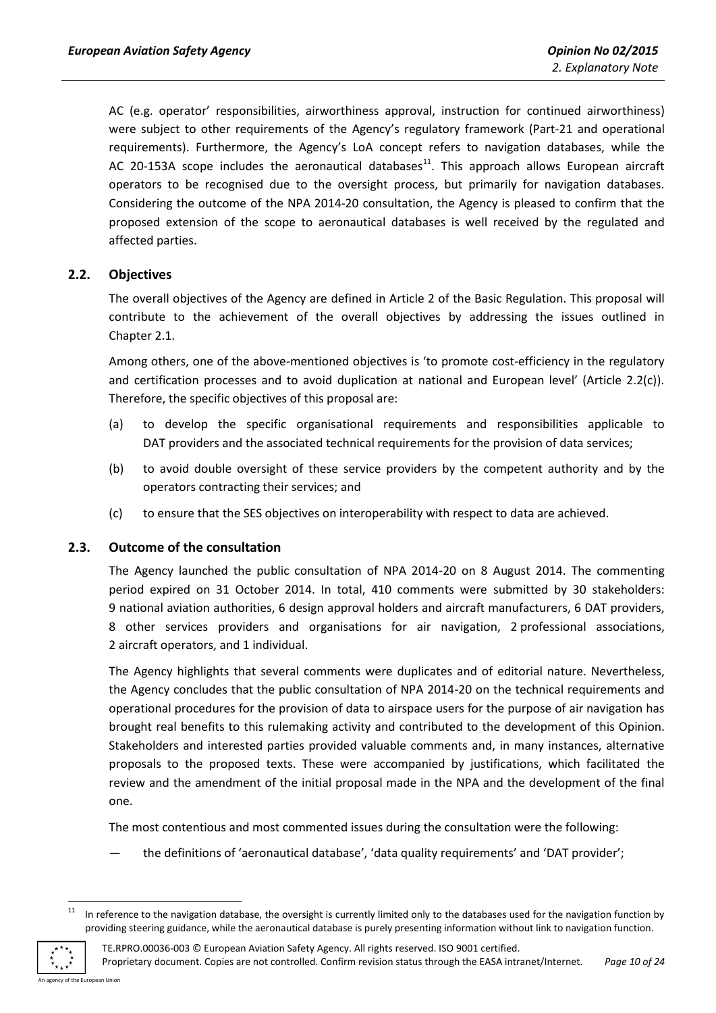AC (e.g. operator' responsibilities, airworthiness approval, instruction for continued airworthiness) were subject to other requirements of the Agency's regulatory framework (Part-21 and operational requirements). Furthermore, the Agency's LoA concept refers to navigation databases, while the AC 20-153A scope includes the aeronautical databases<sup>11</sup>. This approach allows European aircraft operators to be recognised due to the oversight process, but primarily for navigation databases. Considering the outcome of the NPA 2014-20 consultation, the Agency is pleased to confirm that the proposed extension of the scope to aeronautical databases is well received by the regulated and affected parties.

# <span id="page-9-0"></span>**2.2. Objectives**

The overall objectives of the Agency are defined in Article 2 of the Basic Regulation. This proposal will contribute to the achievement of the overall objectives by addressing the issues outlined in Chapter 2.1.

Among others, one of the above-mentioned objectives is 'to promote cost-efficiency in the regulatory and certification processes and to avoid duplication at national and European level' (Article 2.2(c)). Therefore, the specific objectives of this proposal are:

- (a) to develop the specific organisational requirements and responsibilities applicable to DAT providers and the associated technical requirements for the provision of data services;
- (b) to avoid double oversight of these service providers by the competent authority and by the operators contracting their services; and
- (c) to ensure that the SES objectives on interoperability with respect to data are achieved.

#### <span id="page-9-1"></span>**2.3. Outcome of the consultation**

The Agency launched the public consultation of NPA 2014-20 on 8 August 2014. The commenting period expired on 31 October 2014. In total, 410 comments were submitted by 30 stakeholders: 9 national aviation authorities, 6 design approval holders and aircraft manufacturers, 6 DAT providers, 8 other services providers and organisations for air navigation, 2 professional associations, 2 aircraft operators, and 1 individual.

The Agency highlights that several comments were duplicates and of editorial nature. Nevertheless, the Agency concludes that the public consultation of NPA 2014-20 on the technical requirements and operational procedures for the provision of data to airspace users for the purpose of air navigation has brought real benefits to this rulemaking activity and contributed to the development of this Opinion. Stakeholders and interested parties provided valuable comments and, in many instances, alternative proposals to the proposed texts. These were accompanied by justifications, which facilitated the review and the amendment of the initial proposal made in the NPA and the development of the final one.

The most contentious and most commented issues during the consultation were the following:

the definitions of 'aeronautical database', 'data quality requirements' and 'DAT provider';

<sup>11</sup> In reference to the navigation database, the oversight is currently limited only to the databases used for the navigation function by providing steering guidance, while the aeronautical database is purely presenting information without link to navigation function.



**.** 

TE.RPRO.00036-003 © European Aviation Safety Agency. All rights reserved. ISO 9001 certified. Proprietary document. Copies are not controlled. Confirm revision status through the EASA intranet/Internet. *Page 10 of 24*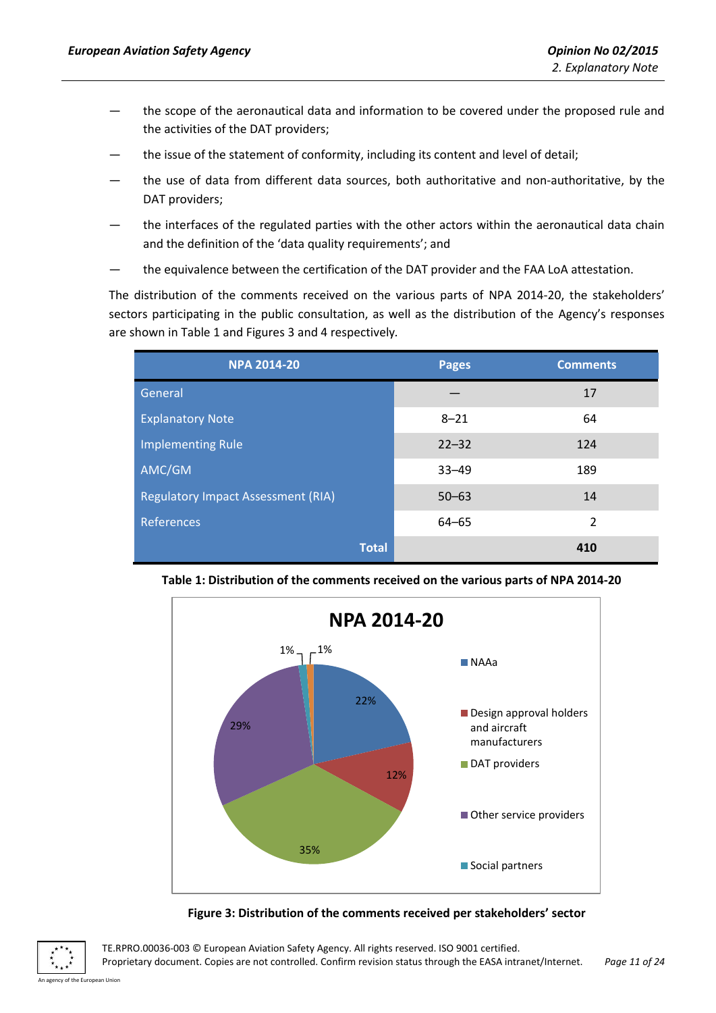- the scope of the aeronautical data and information to be covered under the proposed rule and the activities of the DAT providers;
- the issue of the statement of conformity, including its content and level of detail;
- the use of data from different data sources, both authoritative and non-authoritative, by the DAT providers;
- the interfaces of the regulated parties with the other actors within the aeronautical data chain and the definition of the 'data quality requirements'; and
- the equivalence between the certification of the DAT provider and the FAA LoA attestation.

The distribution of the comments received on the various parts of NPA 2014-20, the stakeholders' sectors participating in the public consultation, as well as the distribution of the Agency's responses are shown in Table 1 and Figures 3 and 4 respectively*.*

| <b>NPA 2014-20</b>                        | <b>Pages</b> | <b>Comments</b> |
|-------------------------------------------|--------------|-----------------|
| General                                   |              | 17              |
| <b>Explanatory Note</b>                   | $8 - 21$     | 64              |
| <b>Implementing Rule</b>                  | $22 - 32$    | 124             |
| AMC/GM                                    | $33 - 49$    | 189             |
| <b>Regulatory Impact Assessment (RIA)</b> | $50 - 63$    | 14              |
| References                                | $64 - 65$    | $\overline{2}$  |
| <b>Total</b>                              |              | 410             |



**Table 1: Distribution of the comments received on the various parts of NPA 2014-20**

**Figure 3: Distribution of the comments received per stakeholders' sector**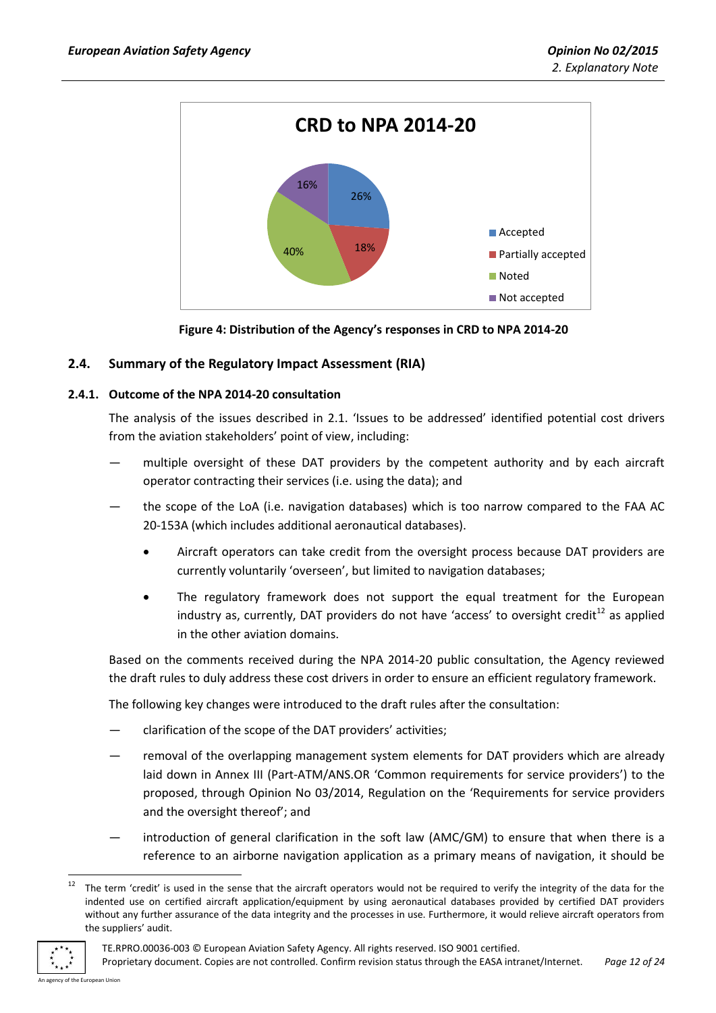

**Figure 4: Distribution of the Agency's responses in CRD to NPA 2014-20**

# <span id="page-11-0"></span>**2.4. Summary of the Regulatory Impact Assessment (RIA)**

# <span id="page-11-1"></span>**2.4.1. Outcome of the NPA 2014-20 consultation**

The analysis of the issues described in 2.1. 'Issues to be addressed' identified potential cost drivers from the aviation stakeholders' point of view, including:

- multiple oversight of these DAT providers by the competent authority and by each aircraft operator contracting their services (i.e. using the data); and
- the scope of the LoA (i.e. navigation databases) which is too narrow compared to the FAA AC 20-153A (which includes additional aeronautical databases).
	- Aircraft operators can take credit from the oversight process because DAT providers are currently voluntarily 'overseen', but limited to navigation databases;
	- The regulatory framework does not support the equal treatment for the European industry as, currently, DAT providers do not have 'access' to oversight credit $^{12}$  as applied in the other aviation domains.

Based on the comments received during the NPA 2014-20 public consultation, the Agency reviewed the draft rules to duly address these cost drivers in order to ensure an efficient regulatory framework.

The following key changes were introduced to the draft rules after the consultation:

- clarification of the scope of the DAT providers' activities;
- removal of the overlapping management system elements for DAT providers which are already laid down in Annex III (Part-ATM/ANS.OR 'Common requirements for service providers') to the proposed, through Opinion No 03/2014, Regulation on the 'Requirements for service providers and the oversight thereof'; and
- introduction of general clarification in the soft law (AMC/GM) to ensure that when there is a reference to an airborne navigation application as a primary means of navigation, it should be

The term 'credit' is used in the sense that the aircraft operators would not be required to verify the integrity of the data for the indented use on certified aircraft application/equipment by using aeronautical databases provided by certified DAT providers without any further assurance of the data integrity and the processes in use. Furthermore, it would relieve aircraft operators from the suppliers' audit.



 $\overline{a}$ 

TE.RPRO.00036-003 © European Aviation Safety Agency. All rights reserved. ISO 9001 certified.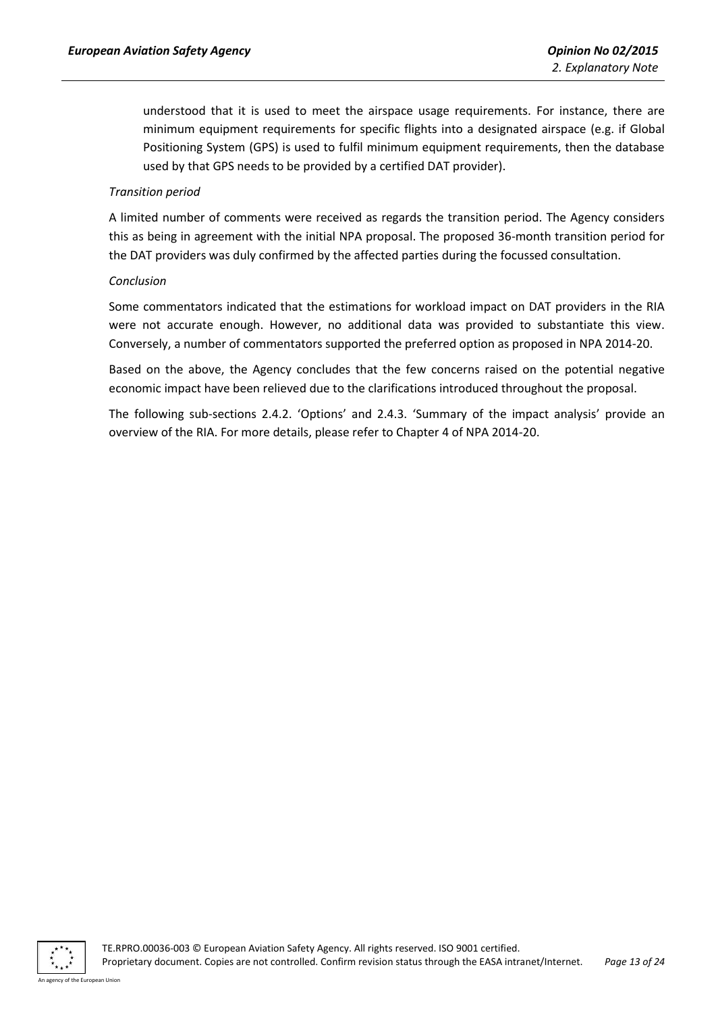understood that it is used to meet the airspace usage requirements. For instance, there are minimum equipment requirements for specific flights into a designated airspace (e.g. if Global Positioning System (GPS) is used to fulfil minimum equipment requirements, then the database used by that GPS needs to be provided by a certified DAT provider).

#### *Transition period*

A limited number of comments were received as regards the transition period. The Agency considers this as being in agreement with the initial NPA proposal. The proposed 36-month transition period for the DAT providers was duly confirmed by the affected parties during the focussed consultation.

#### *Conclusion*

Some commentators indicated that the estimations for workload impact on DAT providers in the RIA were not accurate enough. However, no additional data was provided to substantiate this view. Conversely, a number of commentators supported the preferred option as proposed in NPA 2014-20.

Based on the above, the Agency concludes that the few concerns raised on the potential negative economic impact have been relieved due to the clarifications introduced throughout the proposal.

The following sub-sections 2.4.2. 'Options' and 2.4.3. 'Summary of the impact analysis' provide an overview of the RIA. For more details, please refer to Chapter 4 of NPA 2014-20.

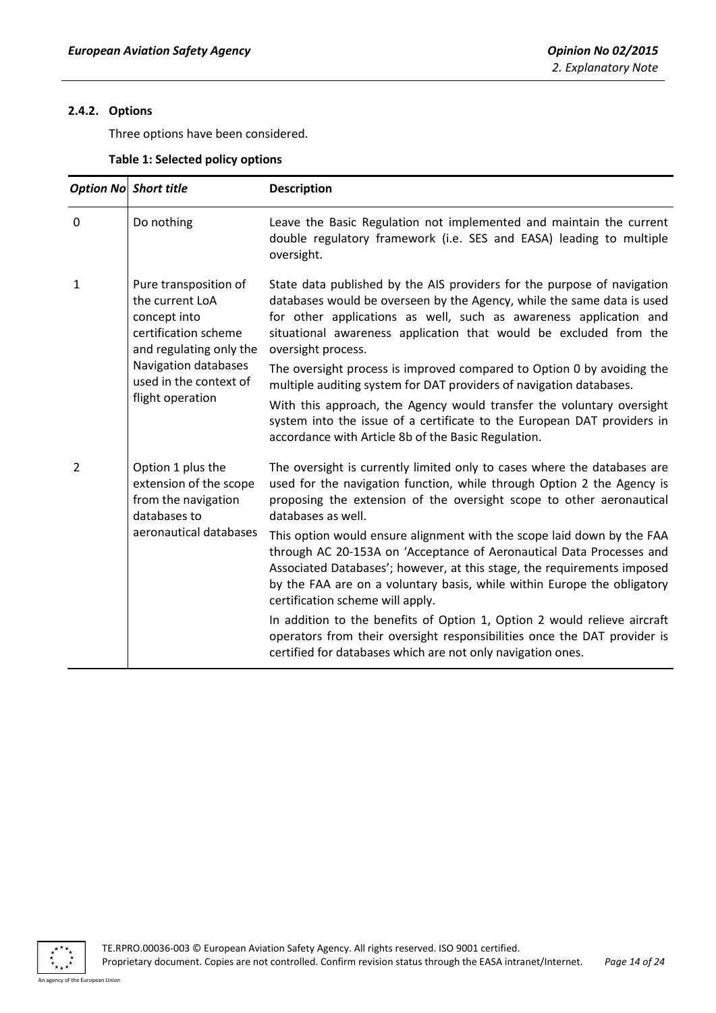# <span id="page-13-0"></span>**2.4.2. Options**

Three options have been considered.

| Table 1: Selected policy options |  |  |
|----------------------------------|--|--|
|----------------------------------|--|--|

|                | Option No Short title                                                                                       | <b>Description</b>                                                                                                                                                                                                                                                                                                                       |
|----------------|-------------------------------------------------------------------------------------------------------------|------------------------------------------------------------------------------------------------------------------------------------------------------------------------------------------------------------------------------------------------------------------------------------------------------------------------------------------|
| $\overline{0}$ | Do nothing                                                                                                  | Leave the Basic Regulation not implemented and maintain the current<br>double regulatory framework (i.e. SES and EASA) leading to multiple<br>oversight.                                                                                                                                                                                 |
| $\mathbf{1}$   | Pure transposition of<br>the current LoA<br>concept into<br>certification scheme<br>and regulating only the | State data published by the AIS providers for the purpose of navigation<br>databases would be overseen by the Agency, while the same data is used<br>for other applications as well, such as awareness application and<br>situational awareness application that would be excluded from the<br>oversight process.                        |
|                | Navigation databases<br>used in the context of<br>flight operation                                          | The oversight process is improved compared to Option 0 by avoiding the<br>multiple auditing system for DAT providers of navigation databases.                                                                                                                                                                                            |
|                |                                                                                                             | With this approach, the Agency would transfer the voluntary oversight<br>system into the issue of a certificate to the European DAT providers in<br>accordance with Article 8b of the Basic Regulation.                                                                                                                                  |
| 2              | Option 1 plus the<br>extension of the scope<br>from the navigation<br>databases to                          | The oversight is currently limited only to cases where the databases are<br>used for the navigation function, while through Option 2 the Agency is<br>proposing the extension of the oversight scope to other aeronautical<br>databases as well.                                                                                         |
|                | aeronautical databases                                                                                      | This option would ensure alignment with the scope laid down by the FAA<br>through AC 20-153A on 'Acceptance of Aeronautical Data Processes and<br>Associated Databases'; however, at this stage, the requirements imposed<br>by the FAA are on a voluntary basis, while within Europe the obligatory<br>certification scheme will apply. |
|                |                                                                                                             | In addition to the benefits of Option 1, Option 2 would relieve aircraft<br>operators from their oversight responsibilities once the DAT provider is<br>certified for databases which are not only navigation ones.                                                                                                                      |

 $\begin{array}{ccc}\n \ast & \ast & \ast \\
\ast & \ast & \ast\n \end{array}$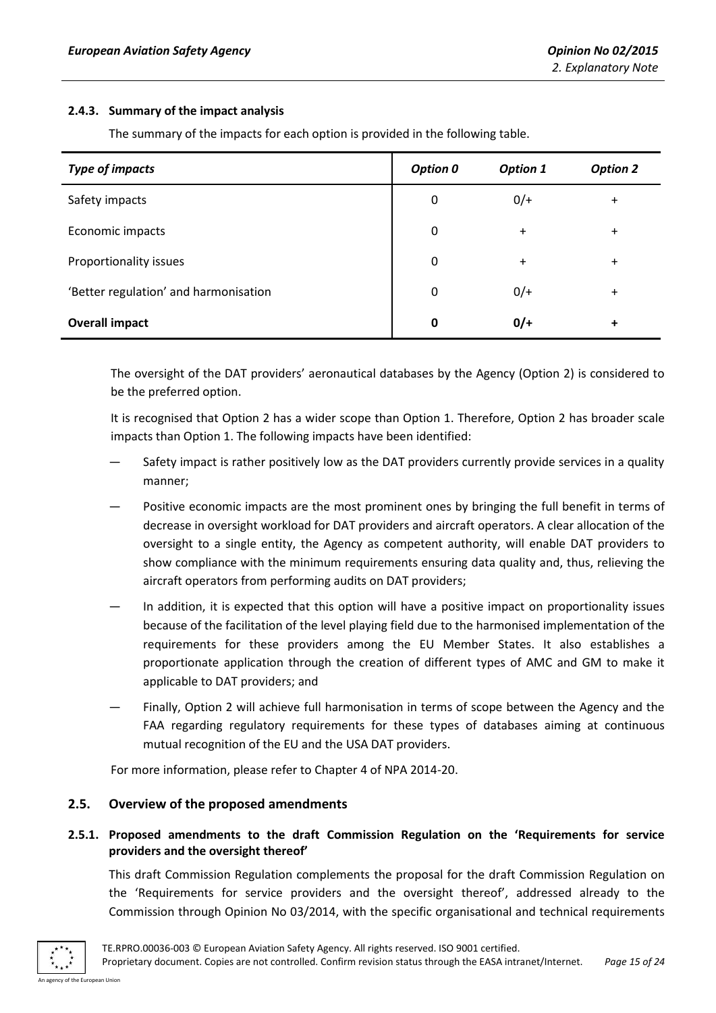#### <span id="page-14-0"></span>**2.4.3. Summary of the impact analysis**

The summary of the impacts for each option is provided in the following table.

| <b>Type of impacts</b>                | <b>Option 0</b> | <b>Option 1</b> | <b>Option 2</b> |
|---------------------------------------|-----------------|-----------------|-----------------|
| Safety impacts                        | $\mathbf 0$     | $0/+$           | $+$             |
| Economic impacts                      | $\mathbf 0$     | $\ddot{}$       | $\ddot{}$       |
| Proportionality issues                | 0               | $\ddot{}$       | $\ddot{}$       |
| 'Better regulation' and harmonisation | 0               | $0/+$           | $\ddot{}$       |
| <b>Overall impact</b>                 | 0               | $0/+$           | $\ddot{}$       |

The oversight of the DAT providers' aeronautical databases by the Agency (Option 2) is considered to be the preferred option.

It is recognised that Option 2 has a wider scope than Option 1. Therefore, Option 2 has broader scale impacts than Option 1. The following impacts have been identified:

- Safety impact is rather positively low as the DAT providers currently provide services in a quality manner;
- Positive economic impacts are the most prominent ones by bringing the full benefit in terms of decrease in oversight workload for DAT providers and aircraft operators. A clear allocation of the oversight to a single entity, the Agency as competent authority, will enable DAT providers to show compliance with the minimum requirements ensuring data quality and, thus, relieving the aircraft operators from performing audits on DAT providers;
- In addition, it is expected that this option will have a positive impact on proportionality issues because of the facilitation of the level playing field due to the harmonised implementation of the requirements for these providers among the EU Member States. It also establishes a proportionate application through the creation of different types of AMC and GM to make it applicable to DAT providers; and
- Finally, Option 2 will achieve full harmonisation in terms of scope between the Agency and the FAA regarding regulatory requirements for these types of databases aiming at continuous mutual recognition of the EU and the USA DAT providers.

For more information, please refer to Chapter 4 of NPA 2014-20.

#### <span id="page-14-1"></span>**2.5. Overview of the proposed amendments**

# <span id="page-14-2"></span>**2.5.1. Proposed amendments to the draft Commission Regulation on the 'Requirements for service providers and the oversight thereof'**

This draft Commission Regulation complements the proposal for the draft Commission Regulation on the 'Requirements for service providers and the oversight thereof', addressed already to the Commission through Opinion No 03/2014, with the specific organisational and technical requirements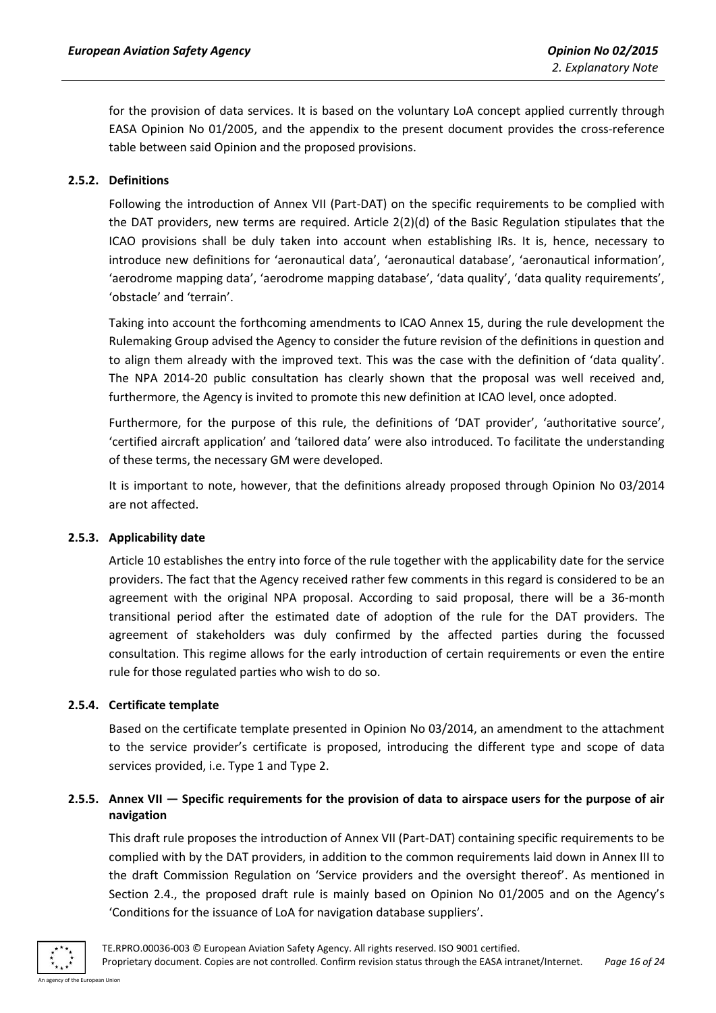for the provision of data services. It is based on the voluntary LoA concept applied currently through EASA Opinion No 01/2005, and the appendix to the present document provides the cross-reference table between said Opinion and the proposed provisions.

# <span id="page-15-0"></span>**2.5.2. Definitions**

Following the introduction of Annex VII (Part-DAT) on the specific requirements to be complied with the DAT providers, new terms are required. Article 2(2)(d) of the Basic Regulation stipulates that the ICAO provisions shall be duly taken into account when establishing IRs. It is, hence, necessary to introduce new definitions for 'aeronautical data', 'aeronautical database', 'aeronautical information', 'aerodrome mapping data', 'aerodrome mapping database', 'data quality', 'data quality requirements', 'obstacle' and 'terrain'.

Taking into account the forthcoming amendments to ICAO Annex 15, during the rule development the Rulemaking Group advised the Agency to consider the future revision of the definitions in question and to align them already with the improved text. This was the case with the definition of 'data quality'. The NPA 2014-20 public consultation has clearly shown that the proposal was well received and, furthermore, the Agency is invited to promote this new definition at ICAO level, once adopted.

Furthermore, for the purpose of this rule, the definitions of 'DAT provider', 'authoritative source', 'certified aircraft application' and 'tailored data' were also introduced. To facilitate the understanding of these terms, the necessary GM were developed.

It is important to note, however, that the definitions already proposed through Opinion No 03/2014 are not affected.

#### <span id="page-15-1"></span>**2.5.3. Applicability date**

Article 10 establishes the entry into force of the rule together with the applicability date for the service providers. The fact that the Agency received rather few comments in this regard is considered to be an agreement with the original NPA proposal. According to said proposal, there will be a 36-month transitional period after the estimated date of adoption of the rule for the DAT providers. The agreement of stakeholders was duly confirmed by the affected parties during the focussed consultation. This regime allows for the early introduction of certain requirements or even the entire rule for those regulated parties who wish to do so.

#### <span id="page-15-2"></span>**2.5.4. Certificate template**

Based on the certificate template presented in Opinion No 03/2014, an amendment to the attachment to the service provider's certificate is proposed, introducing the different type and scope of data services provided, i.e. Type 1 and Type 2.

# <span id="page-15-3"></span>**2.5.5. Annex VII — Specific requirements for the provision of data to airspace users for the purpose of air navigation**

This draft rule proposes the introduction of Annex VII (Part-DAT) containing specific requirements to be complied with by the DAT providers, in addition to the common requirements laid down in Annex III to the draft Commission Regulation on 'Service providers and the oversight thereof'. As mentioned in Section 2.4., the proposed draft rule is mainly based on Opinion No 01/2005 and on the Agency's 'Conditions for the issuance of LoA for navigation database suppliers'.

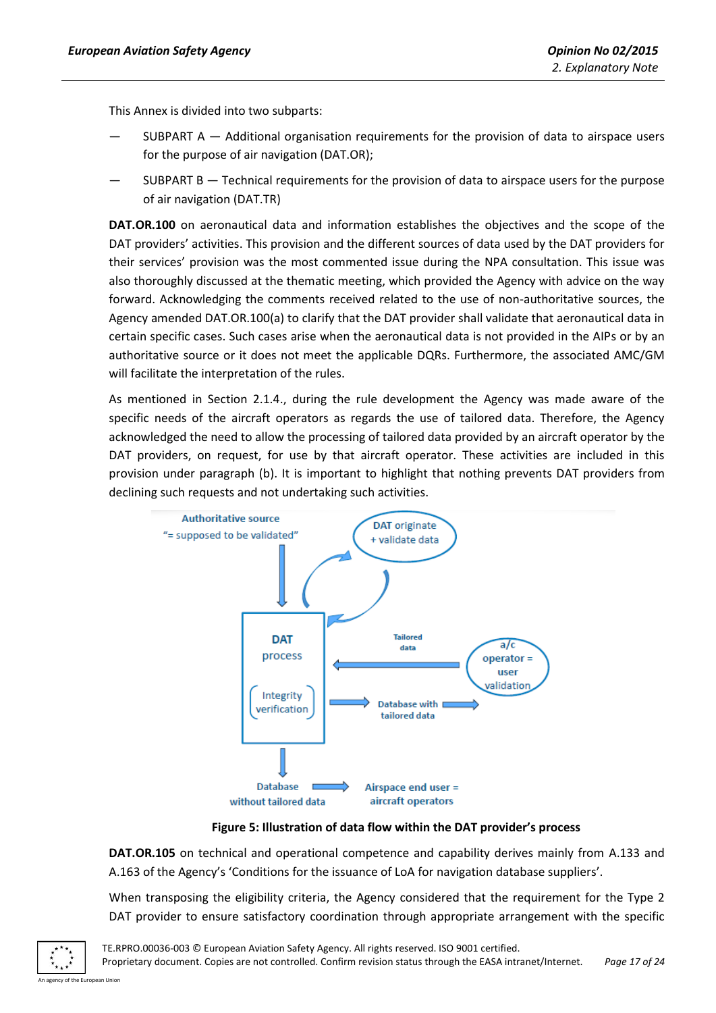This Annex is divided into two subparts:

- SUBPART  $A -$  Additional organisation requirements for the provision of data to airspace users for the purpose of air navigation (DAT.OR);
- SUBPART B  $-$  Technical requirements for the provision of data to airspace users for the purpose of air navigation (DAT.TR)

**DAT.OR.100** on aeronautical data and information establishes the objectives and the scope of the DAT providers' activities. This provision and the different sources of data used by the DAT providers for their services' provision was the most commented issue during the NPA consultation. This issue was also thoroughly discussed at the thematic meeting, which provided the Agency with advice on the way forward. Acknowledging the comments received related to the use of non-authoritative sources, the Agency amended DAT.OR.100(a) to clarify that the DAT provider shall validate that aeronautical data in certain specific cases. Such cases arise when the aeronautical data is not provided in the AIPs or by an authoritative source or it does not meet the applicable DQRs. Furthermore, the associated AMC/GM will facilitate the interpretation of the rules.

As mentioned in Section 2.1.4., during the rule development the Agency was made aware of the specific needs of the aircraft operators as regards the use of tailored data. Therefore, the Agency acknowledged the need to allow the processing of tailored data provided by an aircraft operator by the DAT providers, on request, for use by that aircraft operator. These activities are included in this provision under paragraph (b). It is important to highlight that nothing prevents DAT providers from declining such requests and not undertaking such activities.



**Figure 5: Illustration of data flow within the DAT provider's process**

**DAT.OR.105** on technical and operational competence and capability derives mainly from A.133 and A.163 of the Agency's 'Conditions for the issuance of LoA for navigation database suppliers'.

When transposing the eligibility criteria, the Agency considered that the requirement for the Type 2 DAT provider to ensure satisfactory coordination through appropriate arrangement with the specific

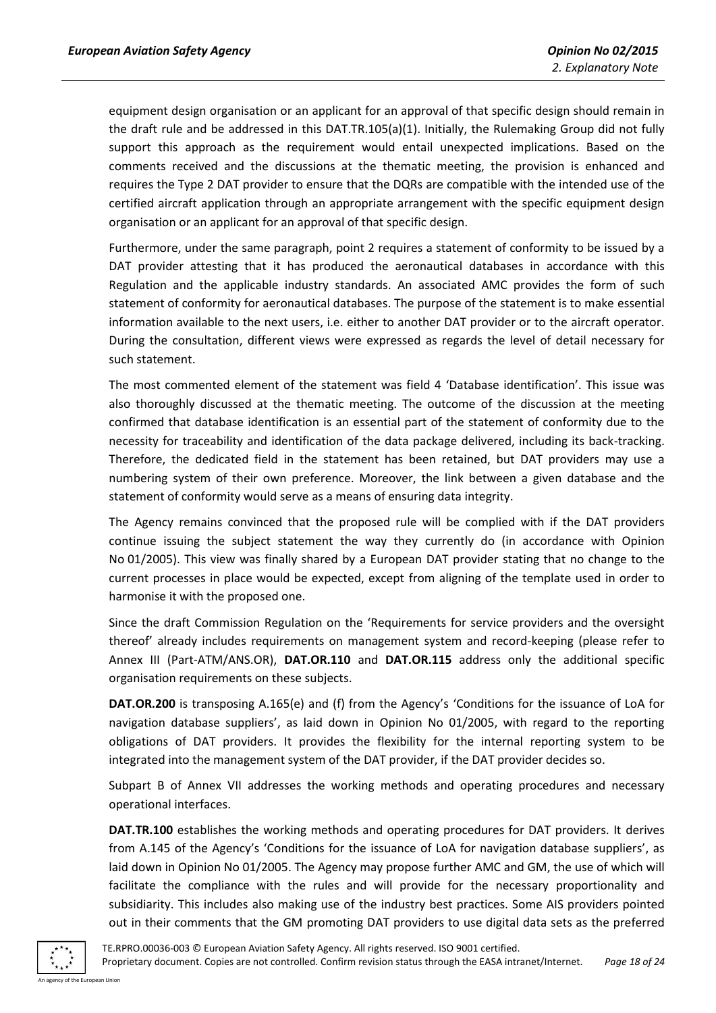equipment design organisation or an applicant for an approval of that specific design should remain in the draft rule and be addressed in this DAT.TR.105(a)(1). Initially, the Rulemaking Group did not fully support this approach as the requirement would entail unexpected implications. Based on the comments received and the discussions at the thematic meeting, the provision is enhanced and requires the Type 2 DAT provider to ensure that the DQRs are compatible with the intended use of the certified aircraft application through an appropriate arrangement with the specific equipment design organisation or an applicant for an approval of that specific design.

Furthermore, under the same paragraph, point 2 requires a statement of conformity to be issued by a DAT provider attesting that it has produced the aeronautical databases in accordance with this Regulation and the applicable industry standards. An associated AMC provides the form of such statement of conformity for aeronautical databases. The purpose of the statement is to make essential information available to the next users, i.e. either to another DAT provider or to the aircraft operator. During the consultation, different views were expressed as regards the level of detail necessary for such statement.

The most commented element of the statement was field 4 'Database identification'. This issue was also thoroughly discussed at the thematic meeting. The outcome of the discussion at the meeting confirmed that database identification is an essential part of the statement of conformity due to the necessity for traceability and identification of the data package delivered, including its back-tracking. Therefore, the dedicated field in the statement has been retained, but DAT providers may use a numbering system of their own preference. Moreover, the link between a given database and the statement of conformity would serve as a means of ensuring data integrity.

The Agency remains convinced that the proposed rule will be complied with if the DAT providers continue issuing the subject statement the way they currently do (in accordance with Opinion No 01/2005). This view was finally shared by a European DAT provider stating that no change to the current processes in place would be expected, except from aligning of the template used in order to harmonise it with the proposed one.

Since the draft Commission Regulation on the 'Requirements for service providers and the oversight thereof' already includes requirements on management system and record-keeping (please refer to Annex III (Part-ATM/ANS.OR), **DAT.OR.110** and **DAT.OR.115** address only the additional specific organisation requirements on these subjects.

**DAT.OR.200** is transposing A.165(e) and (f) from the Agency's 'Conditions for the issuance of LoA for navigation database suppliers', as laid down in Opinion No 01/2005, with regard to the reporting obligations of DAT providers. It provides the flexibility for the internal reporting system to be integrated into the management system of the DAT provider, if the DAT provider decides so.

Subpart B of Annex VII addresses the working methods and operating procedures and necessary operational interfaces.

**DAT.TR.100** establishes the working methods and operating procedures for DAT providers. It derives from A.145 of the Agency's 'Conditions for the issuance of LoA for navigation database suppliers', as laid down in Opinion No 01/2005. The Agency may propose further AMC and GM, the use of which will facilitate the compliance with the rules and will provide for the necessary proportionality and subsidiarity. This includes also making use of the industry best practices. Some AIS providers pointed out in their comments that the GM promoting DAT providers to use digital data sets as the preferred

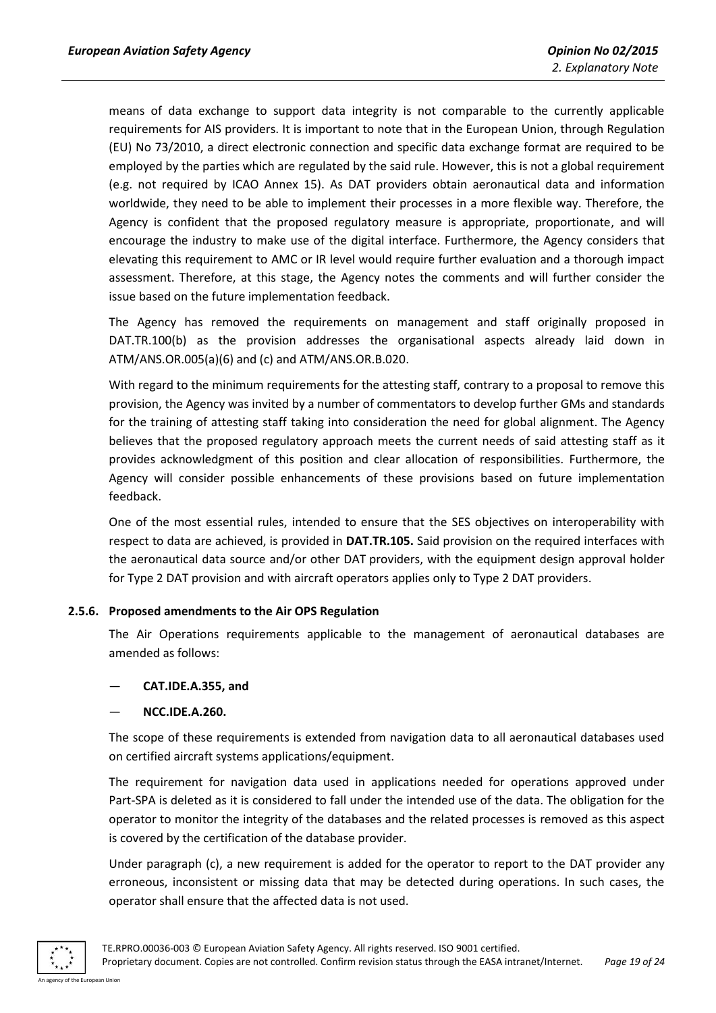means of data exchange to support data integrity is not comparable to the currently applicable requirements for AIS providers. It is important to note that in the European Union, through Regulation (EU) No 73/2010, a direct electronic connection and specific data exchange format are required to be employed by the parties which are regulated by the said rule. However, this is not a global requirement (e.g. not required by ICAO Annex 15). As DAT providers obtain aeronautical data and information worldwide, they need to be able to implement their processes in a more flexible way. Therefore, the Agency is confident that the proposed regulatory measure is appropriate, proportionate, and will encourage the industry to make use of the digital interface. Furthermore, the Agency considers that elevating this requirement to AMC or IR level would require further evaluation and a thorough impact assessment. Therefore, at this stage, the Agency notes the comments and will further consider the issue based on the future implementation feedback.

The Agency has removed the requirements on management and staff originally proposed in DAT.TR.100(b) as the provision addresses the organisational aspects already laid down in ATM/ANS.OR.005(a)(6) and (c) and ATM/ANS.OR.B.020.

With regard to the minimum requirements for the attesting staff, contrary to a proposal to remove this provision, the Agency was invited by a number of commentators to develop further GMs and standards for the training of attesting staff taking into consideration the need for global alignment. The Agency believes that the proposed regulatory approach meets the current needs of said attesting staff as it provides acknowledgment of this position and clear allocation of responsibilities. Furthermore, the Agency will consider possible enhancements of these provisions based on future implementation feedback.

One of the most essential rules, intended to ensure that the SES objectives on interoperability with respect to data are achieved, is provided in **DAT.TR.105.** Said provision on the required interfaces with the aeronautical data source and/or other DAT providers, with the equipment design approval holder for Type 2 DAT provision and with aircraft operators applies only to Type 2 DAT providers.

#### <span id="page-18-0"></span>**2.5.6. Proposed amendments to the Air OPS Regulation**

The Air Operations requirements applicable to the management of aeronautical databases are amended as follows:

#### — **CAT.IDE.A.355, and**

— **NCC.IDE.A.260.**

The scope of these requirements is extended from navigation data to all aeronautical databases used on certified aircraft systems applications/equipment.

The requirement for navigation data used in applications needed for operations approved under Part-SPA is deleted as it is considered to fall under the intended use of the data. The obligation for the operator to monitor the integrity of the databases and the related processes is removed as this aspect is covered by the certification of the database provider.

Under paragraph (c), a new requirement is added for the operator to report to the DAT provider any erroneous, inconsistent or missing data that may be detected during operations. In such cases, the operator shall ensure that the affected data is not used.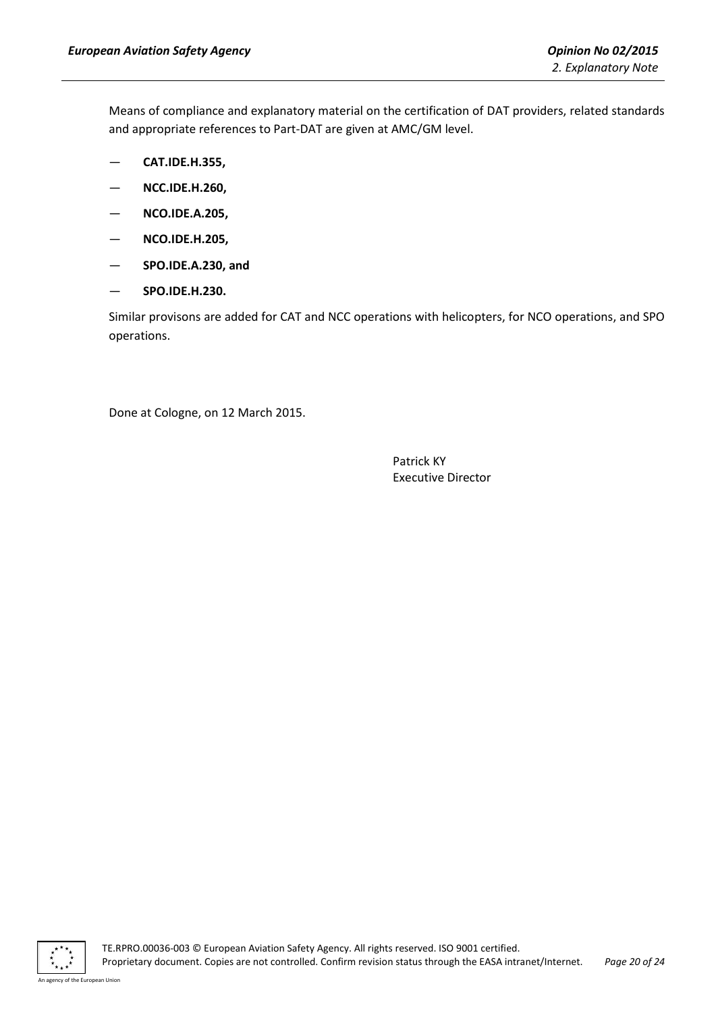Means of compliance and explanatory material on the certification of DAT providers, related standards and appropriate references to Part-DAT are given at AMC/GM level.

- **CAT.IDE.H.355,**
- **NCC.IDE.H.260,**
- **NCO.IDE.A.205,**
- **NCO.IDE.H.205,**
- **SPO.IDE.A.230, and**
- **SPO.IDE.H.230.**

Similar provisons are added for CAT and NCC operations with helicopters, for NCO operations, and SPO operations.

Done at Cologne, on 12 March 2015.

Patrick KY Executive Director

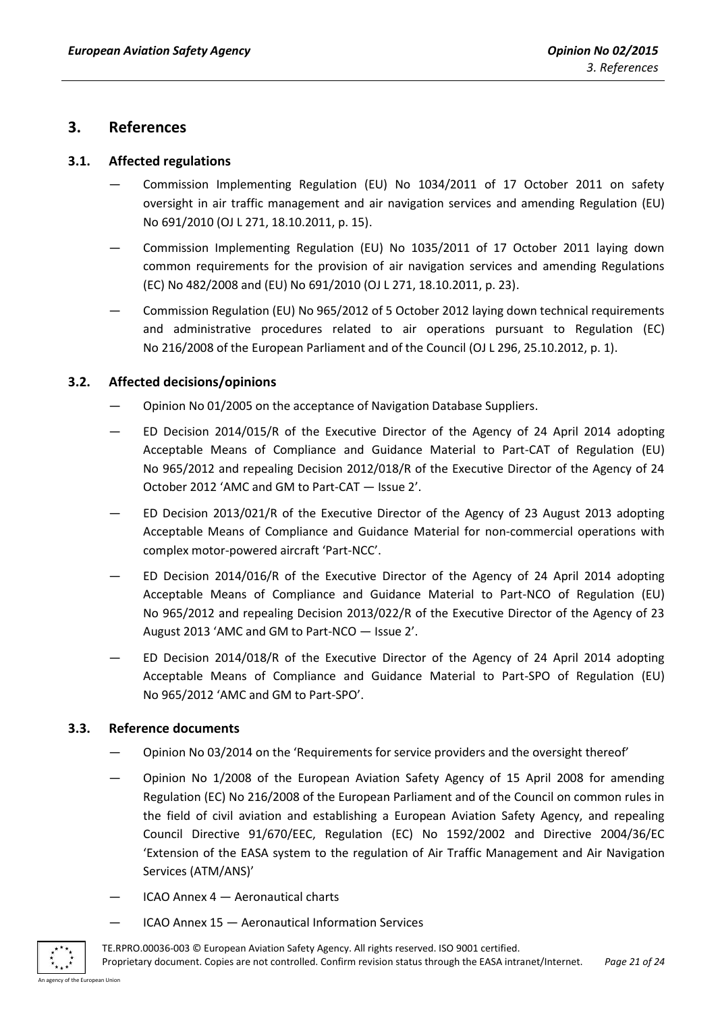# <span id="page-20-0"></span>**3. References**

# <span id="page-20-1"></span>**3.1. Affected regulations**

- Commission Implementing Regulation (EU) No 1034/2011 of 17 October 2011 on safety oversight in air traffic management and air navigation services and amending Regulation (EU) No 691/2010 (OJ L 271, 18.10.2011, p. 15).
- Commission Implementing Regulation (EU) No 1035/2011 of 17 October 2011 laying down common requirements for the provision of air navigation services and amending Regulations (EC) No 482/2008 and (EU) No 691/2010 (OJ L 271, 18.10.2011, p. 23).
- Commission Regulation (EU) No 965/2012 of 5 October 2012 laying down technical requirements and administrative procedures related to air operations pursuant to Regulation (EC) No 216/2008 of the European Parliament and of the Council (OJ L 296, 25.10.2012, p. 1).

# <span id="page-20-2"></span>**3.2. Affected decisions/opinions**

- Opinion No 01/2005 on the acceptance of Navigation Database Suppliers.
- ED Decision 2014/015/R of the Executive Director of the Agency of 24 April 2014 adopting Acceptable Means of Compliance and Guidance Material to Part-CAT of Regulation (EU) No 965/2012 and repealing Decision 2012/018/R of the Executive Director of the Agency of 24 October 2012 'AMC and GM to Part-CAT — Issue 2'.
- ED Decision 2013/021/R of the Executive Director of the Agency of 23 August 2013 adopting Acceptable Means of Compliance and Guidance Material for non-commercial operations with complex motor-powered aircraft 'Part-NCC'.
- ED Decision 2014/016/R of the Executive Director of the Agency of 24 April 2014 adopting Acceptable Means of Compliance and Guidance Material to Part-NCO of Regulation (EU) No 965/2012 and repealing Decision 2013/022/R of the Executive Director of the Agency of 23 August 2013 'AMC and GM to Part-NCO — Issue 2'.
- ED Decision 2014/018/R of the Executive Director of the Agency of 24 April 2014 adopting Acceptable Means of Compliance and Guidance Material to Part-SPO of Regulation (EU) No 965/2012 'AMC and GM to Part-SPO'.

# <span id="page-20-3"></span>**3.3. Reference documents**

- Opinion No 03/2014 on the 'Requirements for service providers and the oversight thereof'
- Opinion No 1/2008 of the European Aviation Safety Agency of 15 April 2008 for amending Regulation (EC) No 216/2008 of the European Parliament and of the Council on common rules in the field of civil aviation and establishing a European Aviation Safety Agency, and repealing Council Directive 91/670/EEC, Regulation (EC) No 1592/2002 and Directive 2004/36/EC 'Extension of the EASA system to the regulation of Air Traffic Management and Air Navigation Services (ATM/ANS)'
- $ICAO$  Annex  $4 -$  Aeronautical charts
- ICAO Annex 15 Aeronautical Information Services

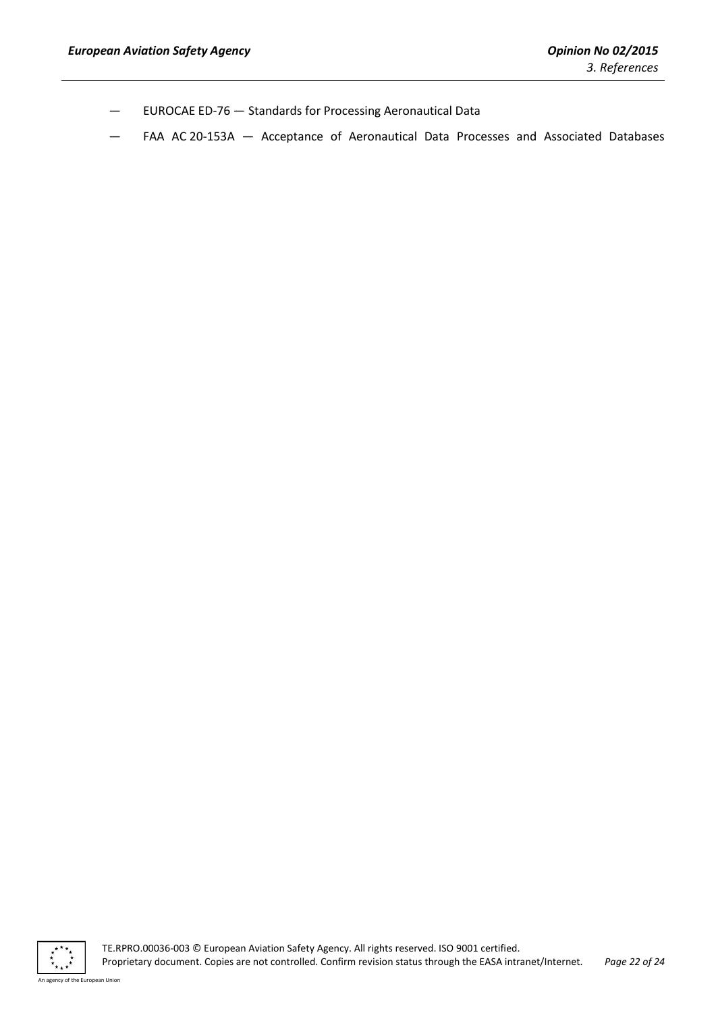- EUROCAE ED-76 Standards for Processing Aeronautical Data
- FAA AC 20-153A Acceptance of Aeronautical Data Processes and Associated Databases

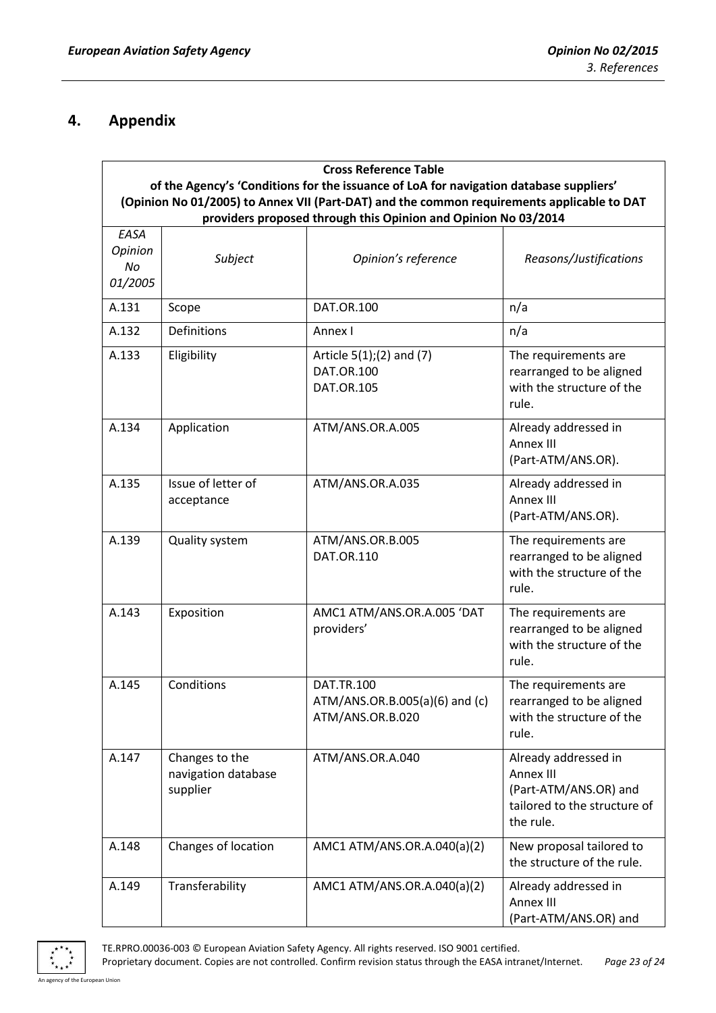# <span id="page-22-0"></span>**4. Appendix**

| <b>Cross Reference Table</b>     |                                                                                                                                                                                                                                                        |                                                                         |                                                                                                         |  |  |
|----------------------------------|--------------------------------------------------------------------------------------------------------------------------------------------------------------------------------------------------------------------------------------------------------|-------------------------------------------------------------------------|---------------------------------------------------------------------------------------------------------|--|--|
|                                  | of the Agency's 'Conditions for the issuance of LoA for navigation database suppliers'<br>(Opinion No 01/2005) to Annex VII (Part-DAT) and the common requirements applicable to DAT<br>providers proposed through this Opinion and Opinion No 03/2014 |                                                                         |                                                                                                         |  |  |
| EASA<br>Opinion<br>No<br>01/2005 | Subject                                                                                                                                                                                                                                                | Opinion's reference                                                     | Reasons/Justifications                                                                                  |  |  |
| A.131                            | Scope                                                                                                                                                                                                                                                  | <b>DAT.OR.100</b>                                                       | n/a                                                                                                     |  |  |
| A.132                            | Definitions                                                                                                                                                                                                                                            | Annex I                                                                 | n/a                                                                                                     |  |  |
| A.133                            | Eligibility                                                                                                                                                                                                                                            | Article $5(1)$ ; (2) and (7)<br><b>DAT.OR.100</b><br>DAT.OR.105         | The requirements are<br>rearranged to be aligned<br>with the structure of the<br>rule.                  |  |  |
| A.134                            | Application                                                                                                                                                                                                                                            | ATM/ANS.OR.A.005                                                        | Already addressed in<br>Annex III<br>(Part-ATM/ANS.OR).                                                 |  |  |
| A.135                            | Issue of letter of<br>acceptance                                                                                                                                                                                                                       | ATM/ANS.OR.A.035                                                        | Already addressed in<br>Annex III<br>(Part-ATM/ANS.OR).                                                 |  |  |
| A.139                            | <b>Quality system</b>                                                                                                                                                                                                                                  | ATM/ANS.OR.B.005<br>DAT.OR.110                                          | The requirements are<br>rearranged to be aligned<br>with the structure of the<br>rule.                  |  |  |
| A.143                            | Exposition                                                                                                                                                                                                                                             | AMC1 ATM/ANS.OR.A.005 'DAT<br>providers'                                | The requirements are<br>rearranged to be aligned<br>with the structure of the<br>rule.                  |  |  |
| A.145                            | Conditions                                                                                                                                                                                                                                             | <b>DAT.TR.100</b><br>ATM/ANS.OR.B.005(a)(6) and (c)<br>ATM/ANS.OR.B.020 | The requirements are<br>rearranged to be aligned<br>with the structure of the<br>rule.                  |  |  |
| A.147                            | Changes to the<br>navigation database<br>supplier                                                                                                                                                                                                      | ATM/ANS.OR.A.040                                                        | Already addressed in<br>Annex III<br>(Part-ATM/ANS.OR) and<br>tailored to the structure of<br>the rule. |  |  |
| A.148                            | Changes of location                                                                                                                                                                                                                                    | AMC1 ATM/ANS.OR.A.040(a)(2)                                             | New proposal tailored to<br>the structure of the rule.                                                  |  |  |
| A.149                            | Transferability                                                                                                                                                                                                                                        | AMC1 ATM/ANS.OR.A.040(a)(2)                                             | Already addressed in<br>Annex III<br>(Part-ATM/ANS.OR) and                                              |  |  |



TE.RPRO.00036-003 © European Aviation Safety Agency. All rights reserved. ISO 9001 certified.

Proprietary document. Copies are not controlled. Confirm revision status through the EASA intranet/Internet. *Page 23 of 24*